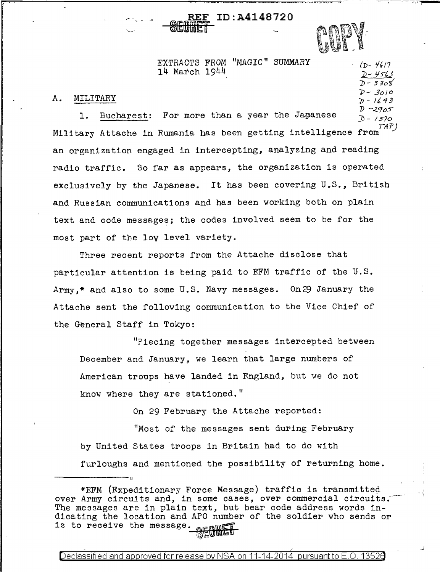REF ID:A4148720

 $(D - 4617)$ *})* ~ *l.j* ''.J. *])- 3 3oi J?-* 3o/O  $D - 1693$ 

> I '"1

EXTRACTS FROM "MAGIC" SUMMARY 14 March 1944

## A. MILITARY

1. Bucharest: For more than a year the Japanese Military Attache in Rumania has been getting intelligence from  $^\mathrm{(AF)}$  $D - 2905$  $D - 1570$ <br>TAP) an organization engaged in intercepting, analyzing and reading radio traffic. So far as appears, the organization is operated exclusively by the Japanese. It has been covering U.S., British and Russian communications and has been working both on plain text and code messages; the codes involved seem to be for the most part of the lov level variety.

Three recent reports from the Attache disclose that particular attention is being paid to EFM traffic of the U.S. Army,\* and also to some U.S. Navy messages. On 29 January the Attache sent the following communication to the Vice Chief of the General Staff in Tokyo:

"Piecing together messages intercepted between December and January, we learn that large numbers of American troops have landed in England, but we do not know where they are stationed."

On 29 February the Attache reported:

"Most of the messages sent during February by United States troops in Britain had to do with furloughs and mentioned the possibility of returning home.

II

<sup>\*</sup>EFM (Expeditionary Force Message) traffic is transmitted over Army circuits and, in some cases, over commercial circuits. The messages are in plain text, but bear code address words indicating the location and APO number of the soldier who sends or is to receive the message. يورپ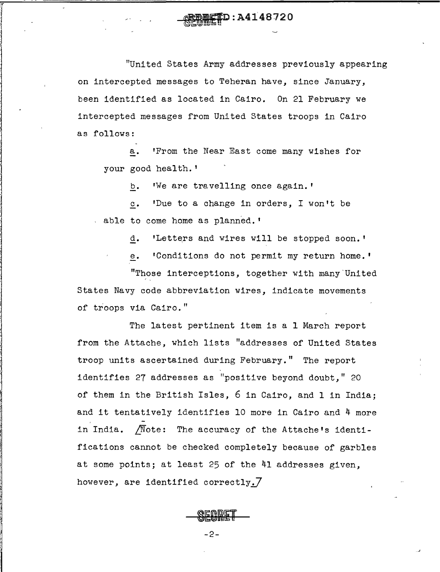"United States Army addresses previously appearing on intercepted messages to Teheran have, since January, been identified as located in Cairo. On 21 February we intercepted messages from United States troops in Cairo as follows:

D:A4148720

*r*  l l !

> a. 'From the Near East come many wishes for your good health. <sup>1</sup>

> > b. 'We are travelling once again.'

c. 'Due to a change in orders, I won't be , able to come home as planned. '

d. 'Letters and wires will be stopped soon.'

'Conditions do not permit my return home.'

"Those interceptions, together with many-United States Navy code abbreviation wires, indicate movements of troops via Cairo."

The latest pertinent item is a 1 March report from the Attache, which lists "addresses of United States troop units ascertained during February." The report identifies 27 addresses as "positive beyond doubt," 20 of them in the British Isles, 6 in Cairo, and 1 in India; and it tentatively identifies 10 more in Cairo and 4 more in India.  $\sqrt{N}$ ote: The accuracy of the Attache's identifications cannot be checked completely because of garbles at some points; at least 25 of the 41 addresses given, however, are identified correctly.7

 $\overline{a}$ 

-2-